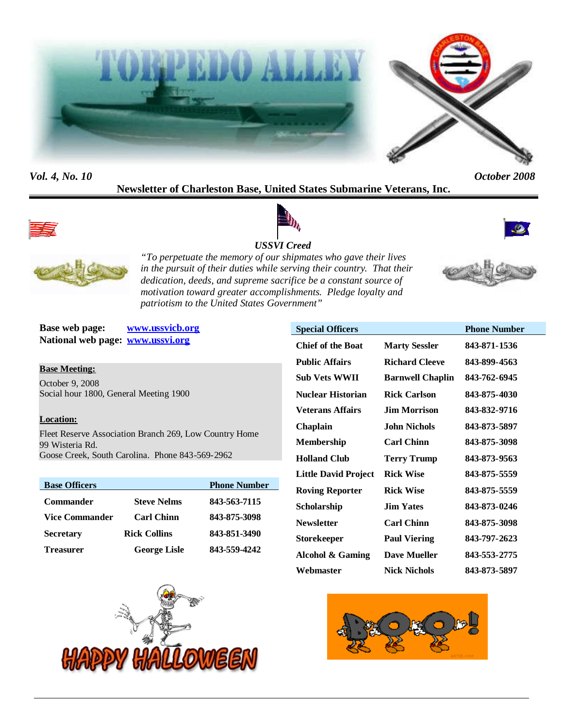



# **Newsletter of Charleston Base, United States Submarine Veterans, Inc.**









*"To perpetuate the memory of our shipmates who gave their lives in the pursuit of their duties while serving their country. That their dedication, deeds, and supreme sacrifice be a constant source of motivation toward greater accomplishments. Pledge loyalty and patriotism to the United States Government"*

**Base web page: www.ussvicb.org National web page: www.ussvi.org**

**Base Meeting:** October 9, 2008 Social hour 1800, General Meeting 1900

#### **Location:**

Fleet Reserve Association Branch 269, Low Country Home 99 Wisteria Rd. Goose Creek, South Carolina. Phone 843-569-2962

| <b>Base Officers</b> |                     | <b>Phone Number</b> |
|----------------------|---------------------|---------------------|
| <b>Commander</b>     | <b>Steve Nelms</b>  | 843-563-7115        |
| Vice Commander       | <b>Carl Chinn</b>   | 843-875-3098        |
| <b>Secretary</b>     | <b>Rick Collins</b> | 843-851-3490        |
| Treasurer            | <b>George Lisle</b> | 843-559-4242        |



| <b>Special Officers</b>     |                         | <b>Phone Number</b> |
|-----------------------------|-------------------------|---------------------|
| <b>Chief of the Boat</b>    | <b>Marty Sessler</b>    | 843-871-1536        |
| <b>Public Affairs</b>       | <b>Richard Cleeve</b>   | 843-899-4563        |
| <b>Sub Vets WWII</b>        | <b>Barnwell Chaplin</b> | 843-762-6945        |
| <b>Nuclear Historian</b>    | <b>Rick Carlson</b>     | 843-875-4030        |
| <b>Veterans Affairs</b>     | <b>Jim Morrison</b>     | 843-832-9716        |
| Chaplain                    | John Nichols            | 843-873-5897        |
| <b>Membership</b>           | <b>Carl Chinn</b>       | 843-875-3098        |
| <b>Holland Club</b>         | <b>Terry Trump</b>      | 843-873-9563        |
| <b>Little David Project</b> | <b>Rick Wise</b>        | 843-875-5559        |
| <b>Roving Reporter</b>      | <b>Rick Wise</b>        | 843-875-5559        |
| Scholarship                 | <b>Jim Yates</b>        | 843-873-0246        |
| <b>Newsletter</b>           | <b>Carl Chinn</b>       | 843-875-3098        |
| <b>Storekeeper</b>          | <b>Paul Viering</b>     | 843-797-2623        |
| <b>Alcohol &amp; Gaming</b> | <b>Dave Mueller</b>     | 843-553-2775        |
| Webmaster                   | <b>Nick Nichols</b>     | 843-873-5897        |

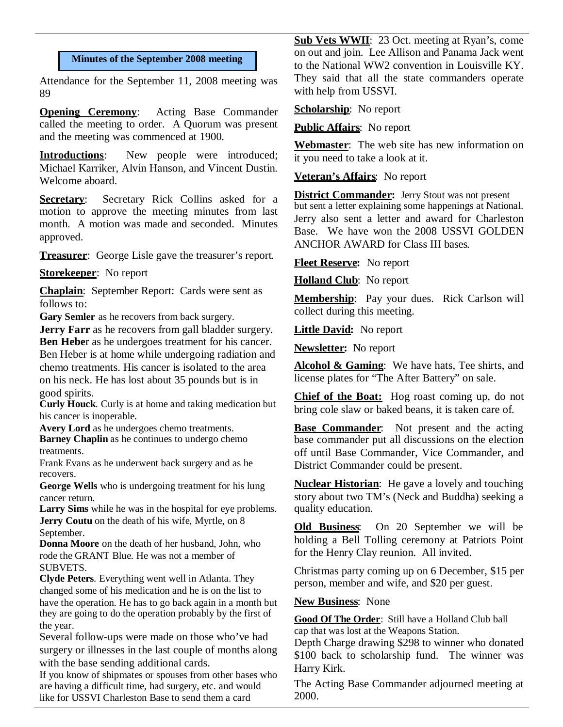#### **Minutes of the September 2008 meeting**

Attendance for the September 11, 2008 meeting was 89

**Opening Ceremony:** Acting Base Commander called the meeting to order. A Quorum was present and the meeting was commenced at 1900.

**Introductions:** New people were introduced; Michael Karriker, Alvin Hanson, and Vincent Dustin. Welcome aboard.

**Secretary:** Secretary Rick Collins asked for a motion to approve the meeting minutes from last month. A motion was made and seconded. Minutes approved.

**Treasurer**: George Lisle gave the treasurer's report.

**Storekeeper**: No report

**Chaplain**: September Report: Cards were sent as follows to:

Gary Semler as he recovers from back surgery.

**Jerry Farr** as he recovers from gall bladder surgery. **Ben Hebe**r as he undergoes treatment for his cancer.

Ben Heber is at home while undergoing radiation and chemo treatments. His cancer is isolated to the area on his neck. He has lost about 35 pounds but is in good spirits.

**Curly Houck**. Curly is at home and taking medication but his cancer is inoperable.

**Avery Lord** as he undergoes chemo treatments. **Barney Chaplin** as he continues to undergo chemo treatments.

Frank Evans as he underwent back surgery and as he recovers.

**George Wells** who is undergoing treatment for his lung cancer return.

**Larry Sims** while he was in the hospital for eye problems. **Jerry Coutu** on the death of his wife, Myrtle, on 8 September.

**Donna Moore** on the death of her husband, John, who rode the GRANT Blue. He was not a member of SUBVETS.

**Clyde Peters**. Everything went well in Atlanta. They changed some of his medication and he is on the list to have the operation. He has to go back again in a month but they are going to do the operation probably by the first of the year.

Several follow-ups were made on those who've had surgery or illnesses in the last couple of months along with the base sending additional cards.

If you know of shipmates or spouses from other bases who are having a difficult time, had surgery, etc. and would like for USSVI Charleston Base to send them a card

**Sub Vets WWII**: 23 Oct. meeting at Ryan's, come on out and join. Lee Allison and Panama Jack went to the National WW2 convention in Louisville KY. They said that all the state commanders operate with help from USSVI.

**Scholarship**: No report

**Public Affairs**: No report

**Webmaster**: The web site has new information on it you need to take a look at it.

**Veteran's Affairs**: No report

**District Commander:** Jerry Stout was not present but sent a letter explaining some happenings at National. Jerry also sent a letter and award for Charleston Base. We have won the 2008 USSVI GOLDEN ANCHOR AWARD for Class III bases.

**Fleet Reserve:** No report

**Holland Club**: No report

**Membership**: Pay your dues. Rick Carlson will collect during this meeting.

**Little David:** No report

**Newsletter:** No report

**Alcohol & Gaming**: We have hats, Tee shirts, and license plates for "The After Battery" on sale.

**Chief of the Boat:** Hog roast coming up, do not bring cole slaw or baked beans, it is taken care of.

**Base Commander:** Not present and the acting base commander put all discussions on the election off until Base Commander, Vice Commander, and District Commander could be present.

**Nuclear Historian**: He gave a lovely and touching story about two TM's (Neck and Buddha) seeking a quality education.

**Old Business**: On 20 September we will be holding a Bell Tolling ceremony at Patriots Point for the Henry Clay reunion. All invited.

Christmas party coming up on 6 December, \$15 per person, member and wife, and \$20 per guest.

**New Business**: None

**Good Of The Order**: Still have a Holland Club ball cap that was lost at the Weapons Station.

Depth Charge drawing \$298 to winner who donated \$100 back to scholarship fund. The winner was Harry Kirk.

The Acting Base Commander adjourned meeting at 2000.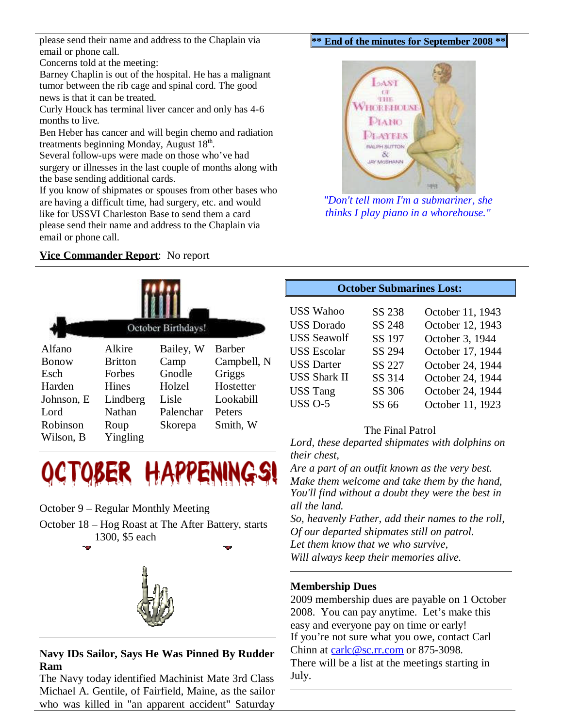please send their name and address to the Chaplain via email or phone call.

#### **\*\* End of the minutes for September 2008 \*\***

Concerns told at the meeting:

Barney Chaplin is out of the hospital. He has a malignant tumor between the rib cage and spinal cord. The good news is that it can be treated.

Curly Houck has terminal liver cancer and only has 4-6 months to live.

Ben Heber has cancer and will begin chemo and radiation treatments beginning Monday, August 18<sup>th</sup>.

Several follow-ups were made on those who've had surgery or illnesses in the last couple of months along with the base sending additional cards.

If you know of shipmates or spouses from other bases who are having a difficult time, had surgery, etc. and would like for USSVI Charleston Base to send them a card please send their name and address to the Chaplain via email or phone call.

### **Vice Commander Report**: No report





#### October 9 – Regular Monthly Meeting

October 18 – Hog Roast at The After Battery, starts 1300, \$5 each



# **Navy IDs Sailor, Says He Was Pinned By Rudder Ram**

The Navy today identified Machinist Mate 3rd Class Michael A. Gentile, of Fairfield, Maine, as the sailor who was killed in "an apparent accident" Saturday



*"Don't tell mom I'm a submariner, she thinks I play piano in a whorehouse."*

## **October Submarines Lost:**

| <b>USS Wahoo</b>    | SS 238 | October 11, 1943 |
|---------------------|--------|------------------|
| <b>USS</b> Dorado   | SS 248 | October 12, 1943 |
| <b>USS Seawolf</b>  | SS 197 | October 3, 1944  |
| <b>USS Escolar</b>  | SS 294 | October 17, 1944 |
| <b>USS Darter</b>   | SS 227 | October 24, 1944 |
| <b>USS Shark II</b> | SS 314 | October 24, 1944 |
| <b>USS Tang</b>     | SS 306 | October 24, 1944 |
| <b>USS O-5</b>      | SS 66  | October 11, 1923 |

#### The Final Patrol

*Lord, these departed shipmates with dolphins on their chest,*

*Are a part of an outfit known as the very best. Make them welcome and take them by the hand, You'll find without a doubt they were the best in all the land.*

*So, heavenly Father, add their names to the roll, Of our departed shipmates still on patrol. Let them know that we who survive, Will always keep their memories alive.*

#### **Membership Dues**

2009 membership dues are payable on 1 October 2008. You can pay anytime. Let's make this easy and everyone pay on time or early! If you're not sure what you owe, contact Carl Chinn at carlc@sc.rr.com or 875-3098. There will be a list at the meetings starting in July.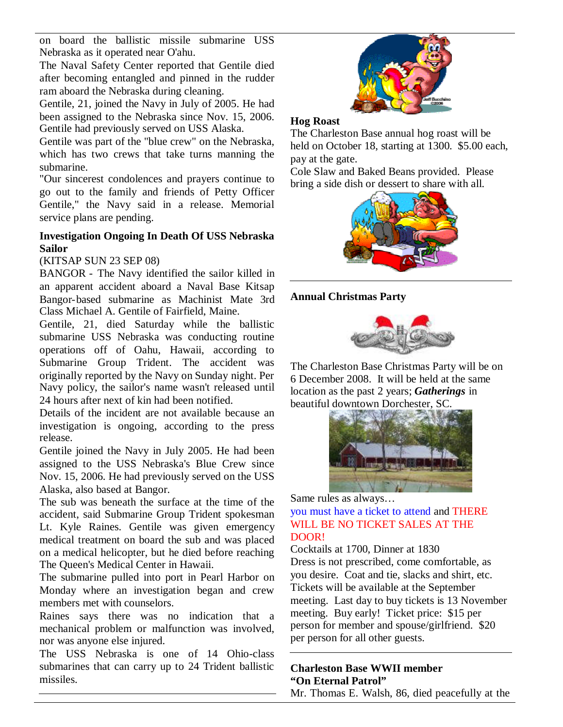on board the ballistic missile submarine USS Nebraska as it operated near O'ahu.

The Naval Safety Center reported that Gentile died after becoming entangled and pinned in the rudder ram aboard the Nebraska during cleaning.

Gentile, 21, joined the Navy in July of 2005. He had been assigned to the Nebraska since Nov. 15, 2006. Gentile had previously served on USS Alaska.

Gentile was part of the "blue crew" on the Nebraska, which has two crews that take turns manning the submarine.

"Our sincerest condolences and prayers continue to go out to the family and friends of Petty Officer Gentile," the Navy said in a release. Memorial service plans are pending.

## **Investigation Ongoing In Death Of USS Nebraska Sailor**

# (KITSAP SUN 23 SEP 08)

BANGOR - The Navy identified the sailor killed in an apparent accident aboard a Naval Base Kitsap Bangor-based submarine as Machinist Mate 3rd Class Michael A. Gentile of Fairfield, Maine.

Gentile, 21, died Saturday while the ballistic submarine USS Nebraska was conducting routine operations off of Oahu, Hawaii, according to Submarine Group Trident. The accident was originally reported by the Navy on Sunday night. Per Navy policy, the sailor's name wasn't released until 24 hours after next of kin had been notified.

Details of the incident are not available because an investigation is ongoing, according to the press release.

Gentile joined the Navy in July 2005. He had been assigned to the USS Nebraska's Blue Crew since Nov. 15, 2006. He had previously served on the USS Alaska, also based at Bangor.

The sub was beneath the surface at the time of the accident, said Submarine Group Trident spokesman Lt. Kyle Raines. Gentile was given emergency medical treatment on board the sub and was placed on a medical helicopter, but he died before reaching The Queen's Medical Center in Hawaii.

The submarine pulled into port in Pearl Harbor on Monday where an investigation began and crew members met with counselors.

Raines says there was no indication that a mechanical problem or malfunction was involved, nor was anyone else injured.

The USS Nebraska is one of 14 Ohio-class submarines that can carry up to 24 Trident ballistic missiles.



### **Hog Roast**

The Charleston Base annual hog roast will be held on October 18, starting at 1300. \$5.00 each, pay at the gate.

Cole Slaw and Baked Beans provided. Please bring a side dish or dessert to share with all.



# **Annual Christmas Party**



The Charleston Base Christmas Party will be on 6 December 2008. It will be held at the same location as the past 2 years; *Gatherings* in beautiful downtown Dorchester, SC.



Same rules as always…

you must have a ticket to attend and THERE WILL BE NO TICKET SALES AT THE DOOR!

Cocktails at 1700, Dinner at 1830 Dress is not prescribed, come comfortable, as you desire. Coat and tie, slacks and shirt, etc. Tickets will be available at the September meeting. Last day to buy tickets is 13 November meeting. Buy early! Ticket price: \$15 per person for member and spouse/girlfriend. \$20 per person for all other guests.

## **Charleston Base WWII member "On Eternal Patrol"** Mr. Thomas E. Walsh, 86, died peacefully at the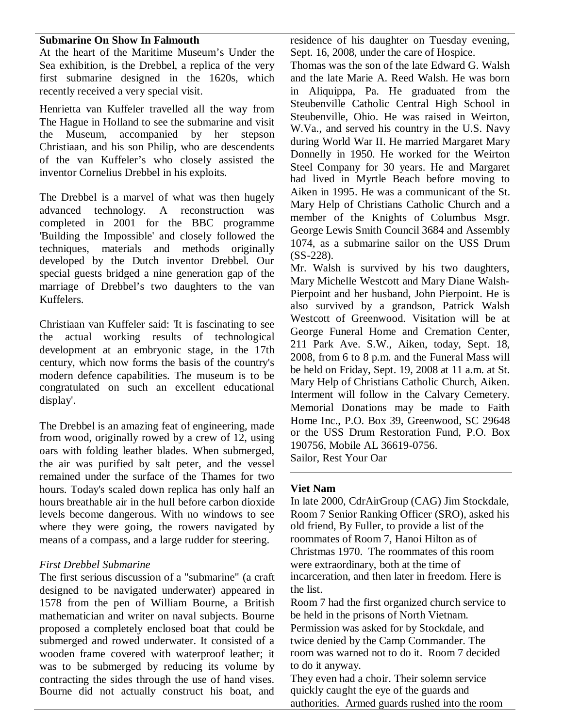### **Submarine On Show In Falmouth**

At the heart of the Maritime Museum's Under the Sea exhibition, is the Drebbel, a replica of the very first submarine designed in the 1620s, which recently received a very special visit.

Henrietta van Kuffeler travelled all the way from The Hague in Holland to see the submarine and visit the Museum, accompanied by her stepson Christiaan, and his son Philip, who are descendents of the van Kuffeler's who closely assisted the inventor Cornelius Drebbel in his exploits.

The Drebbel is a marvel of what was then hugely advanced technology. A reconstruction was completed in 2001 for the BBC programme 'Building the Impossible' and closely followed the techniques, materials and methods originally developed by the Dutch inventor Drebbel. Our special guests bridged a nine generation gap of the marriage of Drebbel's two daughters to the van Kuffelers.

Christiaan van Kuffeler said: 'It is fascinating to see the actual working results of technological development at an embryonic stage, in the 17th century, which now forms the basis of the country's modern defence capabilities. The museum is to be congratulated on such an excellent educational display'.

The Drebbel is an amazing feat of engineering, made from wood, originally rowed by a crew of 12, using oars with folding leather blades. When submerged, the air was purified by salt peter, and the vessel remained under the surface of the Thames for two hours. Today's scaled down replica has only half an hours breathable air in the hull before carbon dioxide levels become dangerous. With no windows to see where they were going, the rowers navigated by means of a compass, and a large rudder for steering.

#### *First Drebbel Submarine*

The first serious discussion of a "submarine" (a craft designed to be navigated underwater) appeared in 1578 from the pen of William Bourne, a British mathematician and writer on naval subjects. Bourne proposed a completely enclosed boat that could be submerged and rowed underwater. It consisted of a wooden frame covered with waterproof leather; it was to be submerged by reducing its volume by contracting the sides through the use of hand vises. Bourne did not actually construct his boat, and residence of his daughter on Tuesday evening, Sept. 16, 2008, under the care of Hospice.

Thomas was the son of the late Edward G. Walsh and the late Marie A. Reed Walsh. He was born in Aliquippa, Pa. He graduated from the Steubenville Catholic Central High School in Steubenville, Ohio. He was raised in Weirton, W.Va., and served his country in the U.S. Navy during World War II. He married Margaret Mary Donnelly in 1950. He worked for the Weirton Steel Company for 30 years. He and Margaret had lived in Myrtle Beach before moving to Aiken in 1995. He was a communicant of the St. Mary Help of Christians Catholic Church and a member of the Knights of Columbus Msgr. George Lewis Smith Council 3684 and Assembly 1074, as a submarine sailor on the USS Drum (SS-228).

Mr. Walsh is survived by his two daughters, Mary Michelle Westcott and Mary Diane Walsh-Pierpoint and her husband, John Pierpoint. He is also survived by a grandson, Patrick Walsh Westcott of Greenwood. Visitation will be at George Funeral Home and Cremation Center, 211 Park Ave. S.W., Aiken, today, Sept. 18, 2008, from 6 to 8 p.m. and the Funeral Mass will be held on Friday, Sept. 19, 2008 at 11 a.m. at St. Mary Help of Christians Catholic Church, Aiken. Interment will follow in the Calvary Cemetery. Memorial Donations may be made to Faith Home Inc., P.O. Box 39, Greenwood, SC 29648 or the USS Drum Restoration Fund, P.O. Box 190756, Mobile AL 36619-0756. Sailor, Rest Your Oar

#### **Viet Nam**

In late 2000, CdrAirGroup (CAG) Jim Stockdale, Room 7 Senior Ranking Officer (SRO), asked his old friend, By Fuller, to provide a list of the roommates of Room 7, Hanoi Hilton as of Christmas 1970. The roommates of this room were extraordinary, both at the time of incarceration, and then later in freedom. Here is the list.

Room 7 had the first organized church service to be held in the prisons of North Vietnam. Permission was asked for by Stockdale, and

twice denied by the Camp Commander. The room was warned not to do it. Room 7 decided to do it anyway.

They even had a choir. Their solemn service quickly caught the eye of the guards and authorities. Armed guards rushed into the room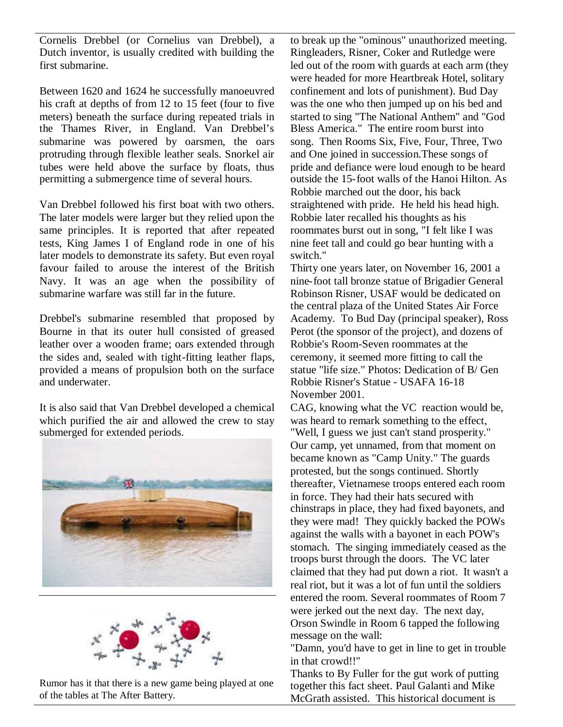Cornelis Drebbel (or Cornelius van Drebbel), a Dutch inventor, is usually credited with building the first submarine.

Between 1620 and 1624 he successfully manoeuvred his craft at depths of from 12 to 15 feet (four to five meters) beneath the surface during repeated trials in the Thames River, in England. Van Drebbel's submarine was powered by oarsmen, the oars protruding through flexible leather seals. Snorkel air tubes were held above the surface by floats, thus permitting a submergence time of several hours.

Van Drebbel followed his first boat with two others. The later models were larger but they relied upon the same principles. It is reported that after repeated tests, King James I of England rode in one of his later models to demonstrate its safety. But even royal favour failed to arouse the interest of the British Navy. It was an age when the possibility of submarine warfare was still far in the future.

Drebbel's submarine resembled that proposed by Bourne in that its outer hull consisted of greased leather over a wooden frame; oars extended through the sides and, sealed with tight-fitting leather flaps, provided a means of propulsion both on the surface and underwater.

It is also said that Van Drebbel developed a chemical which purified the air and allowed the crew to stay submerged for extended periods.





Rumor has it that there is a new game being played at one of the tables at The After Battery.

to break up the "ominous" unauthorized meeting. Ringleaders, Risner, Coker and Rutledge were led out of the room with guards at each arm (they were headed for more Heartbreak Hotel, solitary confinement and lots of punishment). Bud Day was the one who then jumped up on his bed and started to sing "The National Anthem" and "God Bless America." The entire room burst into song. Then Rooms Six, Five, Four, Three, Two and One joined in succession.These songs of pride and defiance were loud enough to be heard outside the 15-foot walls of the Hanoi Hilton. As Robbie marched out the door, his back straightened with pride. He held his head high. Robbie later recalled his thoughts as his roommates burst out in song, "I felt like I was nine feet tall and could go bear hunting with a switch."

Thirty one years later, on November 16, 2001 a nine-foot tall bronze statue of Brigadier General Robinson Risner, USAF would be dedicated on the central plaza of the United States Air Force Academy. To Bud Day (principal speaker), Ross Perot (the sponsor of the project), and dozens of Robbie's Room-Seven roommates at the ceremony, it seemed more fitting to call the statue "life size." Photos: Dedication of B/ Gen Robbie Risner's Statue - USAFA 16-18 November 2001.

CAG, knowing what the VC reaction would be, was heard to remark something to the effect, "Well, I guess we just can't stand prosperity." Our camp, yet unnamed, from that moment on became known as "Camp Unity." The guards protested, but the songs continued. Shortly thereafter, Vietnamese troops entered each room in force. They had their hats secured with chinstraps in place, they had fixed bayonets, and they were mad! They quickly backed the POWs against the walls with a bayonet in each POW's stomach. The singing immediately ceased as the troops burst through the doors. The VC later claimed that they had put down a riot. It wasn't a real riot, but it was a lot of fun until the soldiers entered the room. Several roommates of Room 7 were jerked out the next day. The next day, Orson Swindle in Room 6 tapped the following message on the wall:

"Damn, you'd have to get in line to get in trouble in that crowd!!"

Thanks to By Fuller for the gut work of putting together this fact sheet. Paul Galanti and Mike McGrath assisted. This historical document is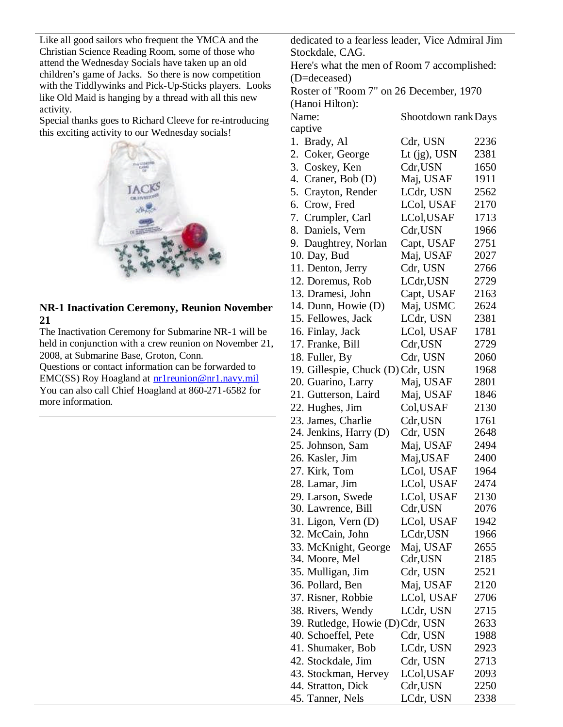Like all good sailors who frequent the YMCA and the Christian Science Reading Room, some of those who attend the Wednesday Socials have taken up an old children's game of Jacks. So there is now competition with the Tiddlywinks and Pick-Up-Sticks players. Looks like Old Maid is hanging by a thread with all this new activity.

Special thanks goes to Richard Cleeve for re-introducing this exciting activity to our Wednesday socials!



**NR-1 Inactivation Ceremony, Reunion November 21**

The Inactivation Ceremony for Submarine NR-1 will be held in conjunction with a crew reunion on November 21, 2008, at Submarine Base, Groton, Conn. Questions or contact information can be forwarded to EMC(SS) Roy Hoagland at  $\frac{\text{nr1} \text{reunion@nr1} \cdot \text{navy} \cdot \text{mil}}{ \text{mr2} \cdot \text{sn3} \cdot \text{m1} \cdot \text{m3} \cdot \text{m1}}$ 

You can also call Chief Hoagland at 860-271-6582 for more information.

dedicated to a fearless leader, Vice Admiral Jim Stockdale, CAG.

Here's what the men of Room 7 accomplished: (D=deceased)

Roster of "Room 7" on 26 December, 1970

| (Hanoi Hilton):                   |                      |              |
|-----------------------------------|----------------------|--------------|
| Name:                             | Shootdown rank Days  |              |
| captive                           |                      |              |
| 1. Brady, Al                      | Cdr, USN             | 2236         |
| Coker, George<br>2.               | Lt $(jg)$ , USN      | 2381         |
| 3. Coskey, Ken                    | Cdr,USN              | 1650         |
| 4. Craner, Bob (D)                | Maj, USAF            | 1911         |
| 5. Crayton, Render                | LCdr, USN            | 2562         |
| 6. Crow, Fred                     | LCol, USAF           | 2170         |
| 7. Crumpler, Carl                 | LCol,USAF            | 1713         |
| 8. Daniels, Vern                  | Cdr,USN              | 1966         |
| 9. Daughtrey, Norlan              | Capt, USAF           | 2751         |
| 10. Day, Bud                      | Maj, USAF            | 2027         |
| 11. Denton, Jerry                 | Cdr, USN             | 2766         |
| 12. Doremus, Rob                  | LCdr,USN             | 2729         |
| 13. Dramesi, John                 | Capt, USAF           | 2163         |
| 14. Dunn, Howie (D)               | Maj, USMC            | 2624         |
| 15. Fellowes, Jack                | LCdr, USN            | 2381         |
| 16. Finlay, Jack                  | LCol, USAF           | 1781         |
| 17. Franke, Bill                  | Cdr,USN              | 2729         |
| 18. Fuller, By                    | Cdr, USN             | 2060         |
| 19. Gillespie, Chuck (D) Cdr, USN |                      | 1968         |
| 20. Guarino, Larry                | Maj, USAF            | 2801         |
| 21. Gutterson, Laird              | Maj, USAF            | 1846         |
| 22. Hughes, Jim                   | Col, USAF            | 2130         |
| 23. James, Charlie                | Cdr,USN              | 1761         |
| 24. Jenkins, Harry (D)            | Cdr, USN             | 2648         |
| 25. Johnson, Sam                  | Maj, USAF            | 2494         |
| 26. Kasler, Jim                   | Maj,USAF             | 2400         |
| 27. Kirk, Tom                     | LCol, USAF           | 1964         |
| 28. Lamar, Jim                    | LCol, USAF           | 2474         |
| 29. Larson, Swede                 | LCol, USAF           | 2130         |
| 30. Lawrence, Bill                | Cdr,USN              | 2076         |
| 31. Ligon, Vern (D)               | LCol, USAF           | 1942         |
| 32. McCain, John                  | LCdr,USN             |              |
|                                   |                      | 1966         |
| 33. McKnight, George              | Maj, USAF<br>Cdr,USN | 2655<br>2185 |
| 34. Moore, Mel                    |                      | 2521         |
| 35. Mulligan, Jim                 | Cdr, USN             |              |
| 36. Pollard, Ben                  | Maj, USAF            | 2120         |
| 37. Risner, Robbie                | LCol, USAF           | 2706         |
| 38. Rivers, Wendy                 | LCdr, USN            | 2715         |
| 39. Rutledge, Howie (D)Cdr, USN   |                      | 2633         |
| 40. Schoeffel, Pete               | Cdr, USN             | 1988         |
| 41. Shumaker, Bob                 | LCdr, USN            | 2923         |
| 42. Stockdale, Jim                | Cdr, USN             | 2713         |
| 43. Stockman, Hervey              | LCol,USAF            | 2093         |
| 44. Stratton, Dick                | Cdr,USN              | 2250         |
| 45. Tanner, Nels                  | LCdr, USN            | 2338         |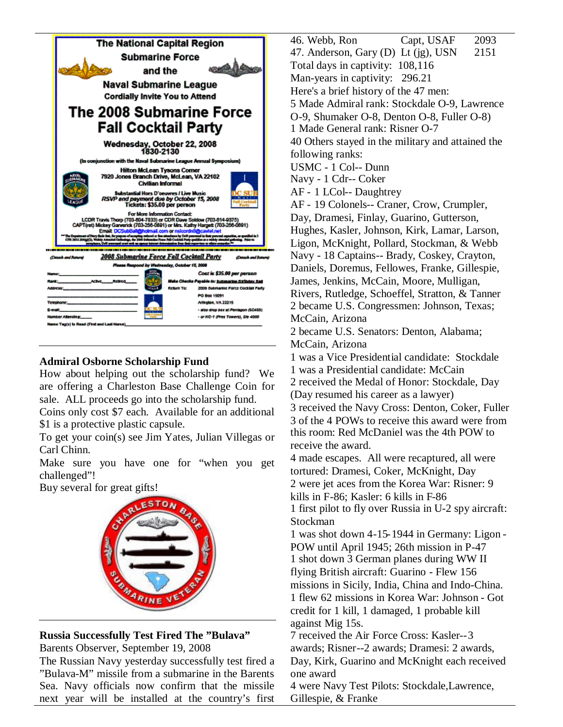

# **Admiral Osborne Scholarship Fund**

How about helping out the scholarship fund? We are offering a Charleston Base Challenge Coin for sale. ALL proceeds go into the scholarship fund.

Coins only cost \$7 each. Available for an additional \$1 is a protective plastic capsule.

To get your coin(s) see Jim Yates, Julian Villegas or Carl Chinn.

Make sure you have one for "when you get challenged"!

Buy several for great gifts!



# **Russia Successfully Test Fired The "Bulava"**

Barents Observer, September 19, 2008

The Russian Navy yesterday successfully test fired a "Bulava-M" missile from a submarine in the Barents Sea. Navy officials now confirm that the missile next year will be installed at the country's first 46. Webb, Ron Capt, USAF 2093 47. Anderson, Gary (D) Lt (ig), USN  $2151$ Total days in captivity: 108,116 Man-years in captivity: 296.21 Here's a brief history of the 47 men: 5 Made Admiral rank: Stockdale O-9, Lawrence O-9, Shumaker O-8, Denton O-8, Fuller O-8) 1 Made General rank: Risner O-7 40 Others stayed in the military and attained the following ranks: USMC - 1 Col-- Dunn Navy - 1 Cdr-- Coker AF - 1 LCol-- Daughtrey AF - 19 Colonels-- Craner, Crow, Crumpler, Day, Dramesi, Finlay, Guarino, Gutterson, Hughes, Kasler, Johnson, Kirk, Lamar, Larson, Ligon, McKnight, Pollard, Stockman, & Webb Navy - 18 Captains-- Brady, Coskey, Crayton, Daniels, Doremus, Fellowes, Franke, Gillespie, James, Jenkins, McCain, Moore, Mulligan, Rivers, Rutledge, Schoeffel, Stratton, & Tanner 2 became U.S. Congressmen: Johnson, Texas; McCain, Arizona 2 became U.S. Senators: Denton, Alabama; McCain, Arizona 1 was a Vice Presidential candidate: Stockdale 1 was a Presidential candidate: McCain 2 received the Medal of Honor: Stockdale, Day (Day resumed his career as a lawyer) 3 received the Navy Cross: Denton, Coker, Fuller 3 of the 4 POWs to receive this award were from this room: Red McDaniel was the 4th POW to receive the award. 4 made escapes. All were recaptured, all were tortured: Dramesi, Coker, McKnight, Day 2 were jet aces from the Korea War: Risner: 9 kills in F-86; Kasler: 6 kills in F-86 1 first pilot to fly over Russia in U-2 spy aircraft: Stockman 1 was shot down 4-15-1944 in Germany: Ligon - POW until April 1945; 26th mission in P-47 1 shot down 3 German planes during WW II flying British aircraft: Guarino - Flew 156 missions in Sicily, India, China and Indo-China. 1 flew 62 missions in Korea War: Johnson - Got credit for 1 kill, 1 damaged, 1 probable kill against Mig 15s. 7 received the Air Force Cross: Kasler--3 awards; Risner--2 awards; Dramesi: 2 awards, Day, Kirk, Guarino and McKnight each received one award

4 were Navy Test Pilots: Stockdale,Lawrence, Gillespie, & Franke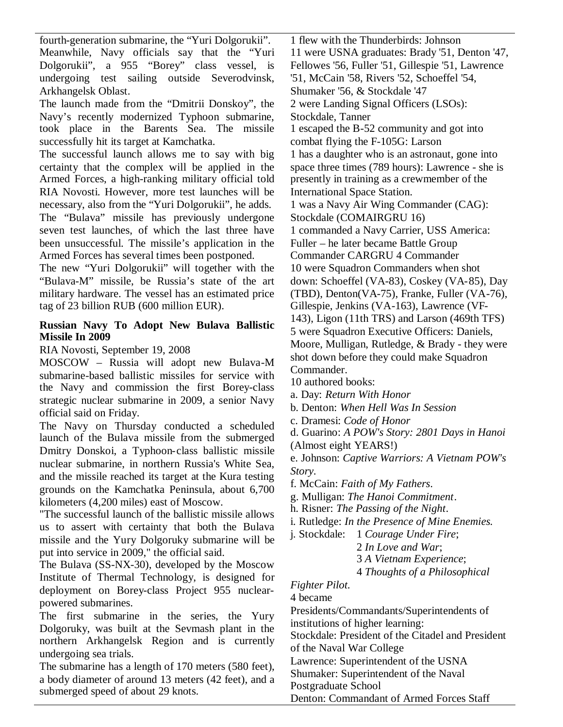fourth-generation submarine, the "Yuri Dolgorukii". Meanwhile, Navy officials say that the "Yuri Dolgorukii", a 955 "Borey" class vessel, is undergoing test sailing outside Severodvinsk, Arkhangelsk Oblast.

The launch made from the "Dmitrii Donskoy", the Navy's recently modernized Typhoon submarine, took place in the Barents Sea. The missile successfully hit its target at Kamchatka.

The successful launch allows me to say with big certainty that the complex will be applied in the Armed Forces, a high-ranking military official told RIA Novosti. However, more test launches will be necessary, also from the "Yuri Dolgorukii", he adds. The "Bulava" missile has previously undergone seven test launches, of which the last three have been unsuccessful. The missile's application in the Armed Forces has several times been postponed.

The new "Yuri Dolgorukii" will together with the "Bulava-M" missile, be Russia's state of the art military hardware. The vessel has an estimated price tag of 23 billion RUB (600 million EUR).

## **Russian Navy To Adopt New Bulava Ballistic Missile In 2009**

RIA Novosti, September 19, 2008

MOSCOW – Russia will adopt new Bulava-M submarine-based ballistic missiles for service with the Navy and commission the first Borey-class strategic nuclear submarine in 2009, a senior Navy official said on Friday.

The Navy on Thursday conducted a scheduled launch of the Bulava missile from the submerged Dmitry Donskoi, a Typhoon-class ballistic missile nuclear submarine, in northern Russia's White Sea, and the missile reached its target at the Kura testing grounds on the Kamchatka Peninsula, about 6,700 kilometers (4,200 miles) east of Moscow.

"The successful launch of the ballistic missile allows us to assert with certainty that both the Bulava missile and the Yury Dolgoruky submarine will be put into service in 2009," the official said.

The Bulava (SS-NX-30), developed by the Moscow Institute of Thermal Technology, is designed for deployment on Borey-class Project 955 nuclearpowered submarines.

The first submarine in the series, the Yury Dolgoruky, was built at the Sevmash plant in the northern Arkhangelsk Region and is currently undergoing sea trials.

The submarine has a length of 170 meters (580 feet), a body diameter of around 13 meters (42 feet), and a submerged speed of about 29 knots.

1 flew with the Thunderbirds: Johnson 11 were USNA graduates: Brady '51, Denton '47, Fellowes '56, Fuller '51, Gillespie '51, Lawrence '51, McCain '58, Rivers '52, Schoeffel '54, Shumaker '56, & Stockdale '47 2 were Landing Signal Officers (LSOs): Stockdale, Tanner 1 escaped the B-52 community and got into combat flying the F-105G: Larson 1 has a daughter who is an astronaut, gone into space three times (789 hours): Lawrence - she is presently in training as a crewmember of the International Space Station. 1 was a Navy Air Wing Commander (CAG): Stockdale (COMAIRGRU 16) 1 commanded a Navy Carrier, USS America: Fuller – he later became Battle Group Commander CARGRU 4 Commander 10 were Squadron Commanders when shot down: Schoeffel (VA-83), Coskey (VA-85), Day (TBD), Denton(VA-75), Franke, Fuller (VA-76), Gillespie, Jenkins (VA-163), Lawrence (VF-143), Ligon (11th TRS) and Larson (469th TFS) 5 were Squadron Executive Officers: Daniels, Moore, Mulligan, Rutledge, & Brady - they were shot down before they could make Squadron Commander.

10 authored books:

- a. Day: *Return With Honor*
- b. Denton: *When Hell Was In Session*
- c. Dramesi: *Code of Honor*

d. Guarino: *A POW's Story: 2801 Days in Hanoi*

(Almost eight YEARS!)

e. Johnson: *Captive Warriors: A Vietnam POW's Story*.

f. McCain: *Faith of My Fathers*.

- g. Mulligan: *The Hanoi Commitment*.
- h. Risner: *The Passing of the Night*.
- i. Rutledge: *In the Presence of Mine Enemies.*

j. Stockdale: 1 *Courage Under Fire*;

2 *In Love and War*; 3 *A Vietnam Experience*; 4 *Thoughts of a Philosophical*

# *Fighter Pilot*.

4 became

Presidents/Commandants/Superintendents of institutions of higher learning:

Stockdale: President of the Citadel and President of the Naval War College

Lawrence: Superintendent of the USNA

Shumaker: Superintendent of the Naval

Postgraduate School

Denton: Commandant of Armed Forces Staff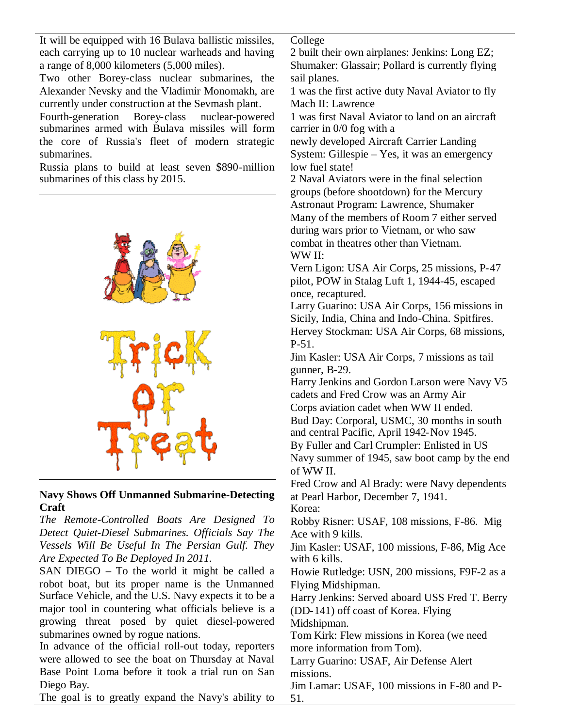It will be equipped with 16 Bulava ballistic missiles, each carrying up to 10 nuclear warheads and having a range of 8,000 kilometers (5,000 miles).

Two other Borey-class nuclear submarines, the Alexander Nevsky and the Vladimir Monomakh, are currently under construction at the Sevmash plant.

Fourth-generation Borey-class nuclear-powered submarines armed with Bulava missiles will form the core of Russia's fleet of modern strategic submarines.

Russia plans to build at least seven \$890-million submarines of this class by 2015.



### **Navy Shows Off Unmanned Submarine-Detecting Craft**

*The Remote-Controlled Boats Are Designed To Detect Quiet-Diesel Submarines. Officials Say The Vessels Will Be Useful In The Persian Gulf. They Are Expected To Be Deployed In 2011.*

SAN DIEGO – To the world it might be called a robot boat, but its proper name is the Unmanned Surface Vehicle, and the U.S. Navy expects it to be a major tool in countering what officials believe is a growing threat posed by quiet diesel-powered submarines owned by rogue nations.

In advance of the official roll-out today, reporters were allowed to see the boat on Thursday at Naval Base Point Loma before it took a trial run on San Diego Bay.

College

2 built their own airplanes: Jenkins: Long EZ; Shumaker: Glassair; Pollard is currently flying sail planes.

1 was the first active duty Naval Aviator to fly Mach II: Lawrence

1 was first Naval Aviator to land on an aircraft carrier in 0/0 fog with a

newly developed Aircraft Carrier Landing System: Gillespie – Yes, it was an emergency low fuel state!

2 Naval Aviators were in the final selection groups (before shootdown) for the Mercury Astronaut Program: Lawrence, Shumaker Many of the members of Room 7 either served during wars prior to Vietnam, or who saw combat in theatres other than Vietnam. WW II:

Vern Ligon: USA Air Corps, 25 missions, P-47 pilot, POW in Stalag Luft 1, 1944-45, escaped once, recaptured.

Larry Guarino: USA Air Corps, 156 missions in Sicily, India, China and Indo-China. Spitfires. Hervey Stockman: USA Air Corps, 68 missions, P-51.

Jim Kasler: USA Air Corps, 7 missions as tail gunner, B-29.

Harry Jenkins and Gordon Larson were Navy V5 cadets and Fred Crow was an Army Air

Corps aviation cadet when WW II ended. Bud Day: Corporal, USMC, 30 months in south and central Pacific, April 1942-Nov 1945.

By Fuller and Carl Crumpler: Enlisted in US Navy summer of 1945, saw boot camp by the end of WW II.

Fred Crow and Al Brady: were Navy dependents at Pearl Harbor, December 7, 1941. Korea:

Robby Risner: USAF, 108 missions, F-86. Mig Ace with 9 kills.

Jim Kasler: USAF, 100 missions, F-86, Mig Ace with 6 kills.

Howie Rutledge: USN, 200 missions, F9F-2 as a Flying Midshipman.

Harry Jenkins: Served aboard USS Fred T. Berry (DD-141) off coast of Korea. Flying

Midshipman.

Tom Kirk: Flew missions in Korea (we need more information from Tom).

Larry Guarino: USAF, Air Defense Alert missions.

Jim Lamar: USAF, 100 missions in F-80 and P-51.

The goal is to greatly expand the Navy's ability to